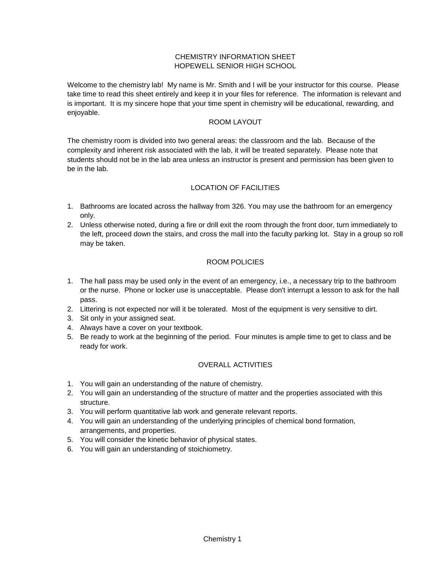### CHEMISTRY INFORMATION SHEET HOPEWELL SENIOR HIGH SCHOOL

Welcome to the chemistry lab! My name is Mr. Smith and I will be your instructor for this course. Please take time to read this sheet entirely and keep it in your files for reference. The information is relevant and is important. It is my sincere hope that your time spent in chemistry will be educational, rewarding, and enjoyable.

#### ROOM LAYOUT

The chemistry room is divided into two general areas: the classroom and the lab. Because of the complexity and inherent risk associated with the lab, it will be treated separately. Please note that students should not be in the lab area unless an instructor is present and permission has been given to be in the lab.

# LOCATION OF FACILITIES

- 1. Bathrooms are located across the hallway from 326. You may use the bathroom for an emergency only.
- 2. Unless otherwise noted, during a fire or drill exit the room through the front door, turn immediately to the left, proceed down the stairs, and cross the mall into the faculty parking lot. Stay in a group so roll may be taken.

### ROOM POLICIES

- 1. The hall pass may be used only in the event of an emergency, i.e., a necessary trip to the bathroom or the nurse. Phone or locker use is unacceptable. Please don't interrupt a lesson to ask for the hall pass.
- 2. Littering is not expected nor will it be tolerated. Most of the equipment is very sensitive to dirt.
- 3. Sit only in your assigned seat.
- 4. Always have a cover on your textbook.
- 5. Be ready to work at the beginning of the period. Four minutes is ample time to get to class and be ready for work.

### OVERALL ACTIVITIES

- 1. You will gain an understanding of the nature of chemistry.
- 2. You will gain an understanding of the structure of matter and the properties associated with this structure.
- 3. You will perform quantitative lab work and generate relevant reports.
- 4. You will gain an understanding of the underlying principles of chemical bond formation, arrangements, and properties.
- 5. You will consider the kinetic behavior of physical states.
- 6. You will gain an understanding of stoichiometry.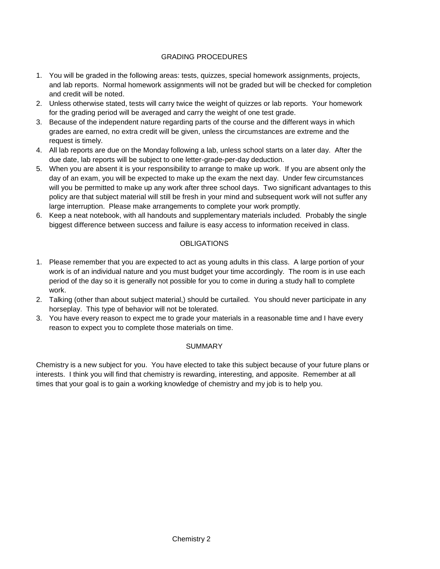### GRADING PROCEDURES

- 1. You will be graded in the following areas: tests, quizzes, special homework assignments, projects, and lab reports. Normal homework assignments will not be graded but will be checked for completion and credit will be noted.
- 2. Unless otherwise stated, tests will carry twice the weight of quizzes or lab reports. Your homework for the grading period will be averaged and carry the weight of one test grade.
- 3. Because of the independent nature regarding parts of the course and the different ways in which grades are earned, no extra credit will be given, unless the circumstances are extreme and the request is timely.
- 4. All lab reports are due on the Monday following a lab, unless school starts on a later day. After the due date, lab reports will be subject to one letter-grade-per-day deduction.
- 5. When you are absent it is your responsibility to arrange to make up work. If you are absent only the day of an exam, you will be expected to make up the exam the next day. Under few circumstances will you be permitted to make up any work after three school days. Two significant advantages to this policy are that subject material will still be fresh in your mind and subsequent work will not suffer any large interruption. Please make arrangements to complete your work promptly.
- 6. Keep a neat notebook, with all handouts and supplementary materials included. Probably the single biggest difference between success and failure is easy access to information received in class.

### **OBLIGATIONS**

- 1. Please remember that you are expected to act as young adults in this class. A large portion of your work is of an individual nature and you must budget your time accordingly. The room is in use each period of the day so it is generally not possible for you to come in during a study hall to complete work.
- 2. Talking (other than about subject material,) should be curtailed. You should never participate in any horseplay. This type of behavior will not be tolerated.
- 3. You have every reason to expect me to grade your materials in a reasonable time and I have every reason to expect you to complete those materials on time.

### **SUMMARY**

Chemistry is a new subject for you. You have elected to take this subject because of your future plans or interests. I think you will find that chemistry is rewarding, interesting, and apposite. Remember at all times that your goal is to gain a working knowledge of chemistry and my job is to help you.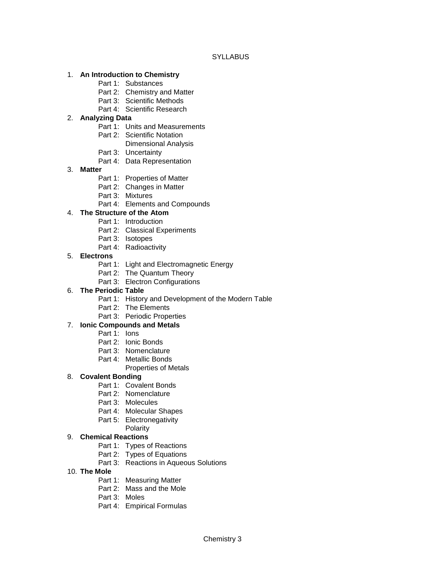**SYLLABUS** 

#### 1. **An Introduction to Chemistry**

- Part 1: Substances
- Part 2: Chemistry and Matter
- Part 3: Scientific Methods
- Part 4: Scientific Research

### 2. **Analyzing Data**

- Part 1: Units and Measurements
- Part 2: Scientific Notation
	- Dimensional Analysis
- Part 3: Uncertainty
- Part 4: Data Representation

#### 3. **Matter**

- Part 1: Properties of Matter
- Part 2: Changes in Matter
- Part 3: Mixtures
- Part 4: Elements and Compounds

### 4. **The Structure of the Atom**

- Part 1: Introduction
- Part 2: Classical Experiments
- Part 3: Isotopes
- Part 4: Radioactivity

#### 5. **Electrons**

- Part 1: Light and Electromagnetic Energy
- Part 2: The Quantum Theory
- Part 3: Electron Configurations

### 6. **The Periodic Table**

- Part 1: History and Development of the Modern Table
- Part 2: The Elements
- Part 3: Periodic Properties

# 7. **Ionic Compounds and Metals**

- Part 1: Ions
- Part 2: Ionic Bonds
- Part 3: Nomenclature
- Part 4: Metallic Bonds
	- Properties of Metals

### 8. **Covalent Bonding**

- Part 1: Covalent Bonds
- Part 2: Nomenclature
- Part 3: Molecules
- Part 4: Molecular Shapes
- Part 5: Electronegativity

### Polarity

### 9. **Chemical Reactions**

- Part 1: Types of Reactions
- Part 2: Types of Equations
- Part 3: Reactions in Aqueous Solutions

### 10. **The Mole**

- Part 1: Measuring Matter
- Part 2: Mass and the Mole
- Part 3: Moles
- Part 4: Empirical Formulas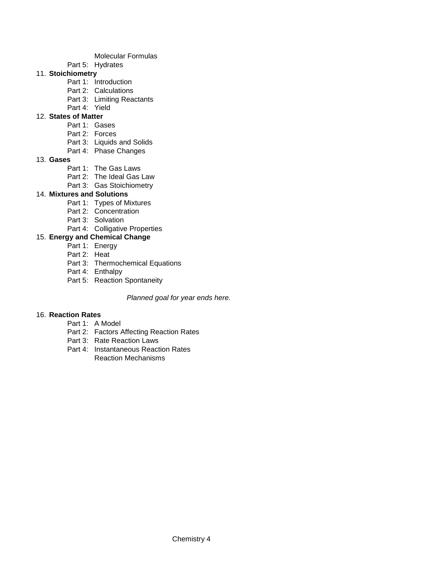- Molecular Formulas
- Part 5: Hydrates
- 11. **Stoichiometry**
	- Part 1: Introduction
	- Part 2: Calculations
	- Part 3: Limiting Reactants
	- Part 4: Yield

# 12. **States of Matter**

- Part 1: Gases
- Part 2: Forces
- Part 3: Liquids and Solids
- Part 4: Phase Changes
- 13. **Gases**
	- Part 1: The Gas Laws
	- Part 2: The Ideal Gas Law
	- Part 3: Gas Stoichiometry

# 14. **Mixtures and Solutions**

- Part 1: Types of Mixtures
- Part 2: Concentration
- Part 3: Solvation
- Part 4: Colligative Properties

# 15. **Energy and Chemical Change**

- Part 1: Energy
- Part 2: Heat
- Part 3: Thermochemical Equations
- Part 4: Enthalpy
- Part 5: Reaction Spontaneity

### *Planned goal for year ends here.*

### 16. **Reaction Rates**

- Part 1: A Model
- Part 2: Factors Affecting Reaction Rates
- Part 3: Rate Reaction Laws
- Part 4: Instantaneous Reaction Rates Reaction Mechanisms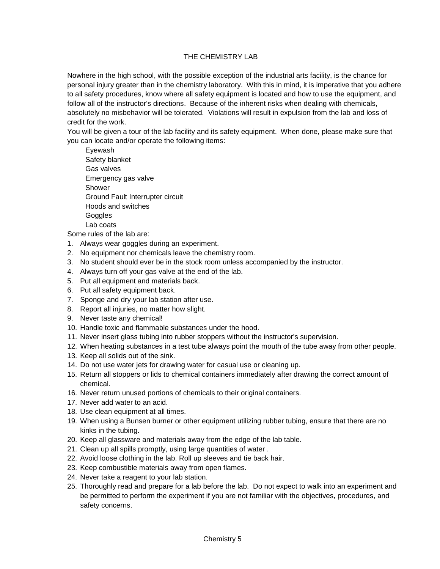### THE CHEMISTRY LAB

Nowhere in the high school, with the possible exception of the industrial arts facility, is the chance for personal injury greater than in the chemistry laboratory. With this in mind, it is imperative that you adhere to all safety procedures, know where all safety equipment is located and how to use the equipment, and follow all of the instructor's directions. Because of the inherent risks when dealing with chemicals, absolutely no misbehavior will be tolerated. Violations will result in expulsion from the lab and loss of credit for the work.

You will be given a tour of the lab facility and its safety equipment. When done, please make sure that you can locate and/or operate the following items:

Eyewash Safety blanket Gas valves Emergency gas valve Shower Ground Fault Interrupter circuit Hoods and switches **Goggles** Lab coats

Some rules of the lab are:

- 1. Always wear goggles during an experiment.
- 2. No equipment nor chemicals leave the chemistry room.
- 3. No student should ever be in the stock room unless accompanied by the instructor.
- 4. Always turn off your gas valve at the end of the lab.
- 5. Put all equipment and materials back.
- 6. Put all safety equipment back.
- 7. Sponge and dry your lab station after use.
- 8. Report all injuries, no matter how slight.
- 9. Never taste any chemical!
- 10. Handle toxic and flammable substances under the hood.
- 11. Never insert glass tubing into rubber stoppers without the instructor's supervision.
- 12. When heating substances in a test tube always point the mouth of the tube away from other people.
- 13. Keep all solids out of the sink.
- 14. Do not use water jets for drawing water for casual use or cleaning up.
- 15. Return all stoppers or lids to chemical containers immediately after drawing the correct amount of chemical.
- 16. Never return unused portions of chemicals to their original containers.
- 17. Never add water to an acid.
- 18. Use clean equipment at all times.
- 19. When using a Bunsen burner or other equipment utilizing rubber tubing, ensure that there are no kinks in the tubing.
- 20. Keep all glassware and materials away from the edge of the lab table.
- 21. Clean up all spills promptly, using large quantities of water .
- 22. Avoid loose clothing in the lab. Roll up sleeves and tie back hair.
- 23. Keep combustible materials away from open flames.
- 24. Never take a reagent to your lab station.
- 25. Thoroughly read and prepare for a lab before the lab. Do not expect to walk into an experiment and be permitted to perform the experiment if you are not familiar with the objectives, procedures, and safety concerns.